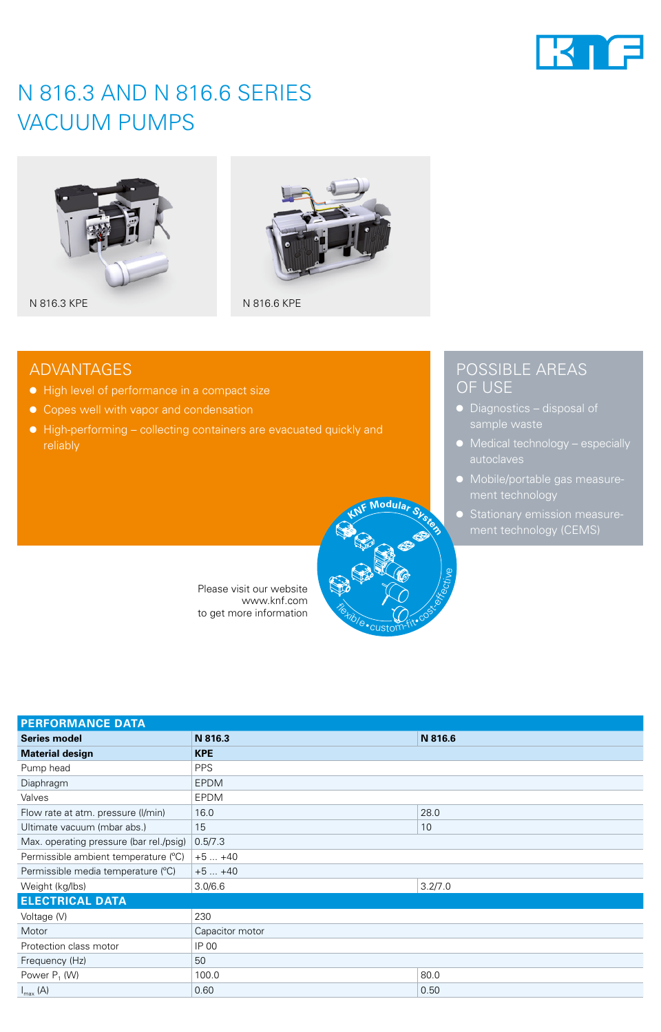

## N 816.3 AND N 816.6 SERIES VACUUM PUMPS





### ADVANTAGES

- High level of performance in a compact size
- Copes well with vapor and condensation
- High-performing collecting containers are evacuated quickly and



Please visit our website www.knf.com to get more information

### POSSIBLE AREAS OF USE

- Diagnostics disposal of
- Medical technology especially
- Mobile/portable gas measure-
- Stationary emission measurement technology (CEMS)

| <b>PERFORMANCE DATA</b>                 |                 |         |  |  |
|-----------------------------------------|-----------------|---------|--|--|
| <b>Series model</b>                     | N 816.3         | N 816.6 |  |  |
| <b>Material design</b>                  | <b>KPE</b>      |         |  |  |
| Pump head                               | <b>PPS</b>      |         |  |  |
| Diaphragm                               | <b>EPDM</b>     |         |  |  |
| Valves                                  | <b>EPDM</b>     |         |  |  |
| Flow rate at atm. pressure (I/min)      | 16.0            | 28.0    |  |  |
| Ultimate vacuum (mbar abs.)             | 15              | 10      |  |  |
| Max. operating pressure (bar rel./psig) | 0.5/7.3         |         |  |  |
| Permissible ambient temperature (°C)    | $+5+40$         |         |  |  |
| Permissible media temperature (°C)      | $+5+40$         |         |  |  |
| Weight (kg/lbs)                         | 3.0/6.6         | 3.2/7.0 |  |  |
| <b>ELECTRICAL DATA</b>                  |                 |         |  |  |
| Voltage (V)                             | 230             |         |  |  |
| Motor                                   | Capacitor motor |         |  |  |
| Protection class motor                  | IP 00           |         |  |  |
| Frequency (Hz)                          | 50              |         |  |  |
| Power P <sub>1</sub> (W)                | 100.0           | 80.0    |  |  |
| $I_{\text{max}}(A)$                     | 0.60            | 0.50    |  |  |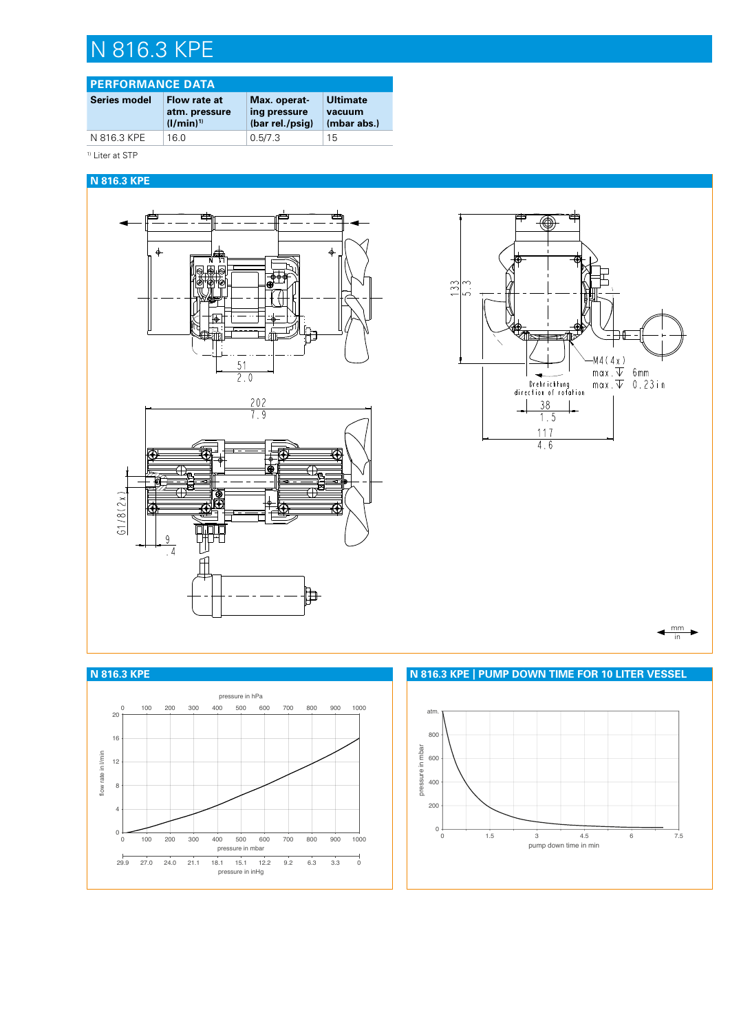# N 816.3 KPE

### **PERFORMANCE DATA**

| <b>Series model</b> | Flow rate at<br>atm. pressure<br>$(1/min)^{1}$ | Max. operat-<br>ing pressure<br>(bar rel./psig) | <b>Ultimate</b><br>vacuum<br>(mbar abs.) |
|---------------------|------------------------------------------------|-------------------------------------------------|------------------------------------------|
| N 816.3 KPE         | 16 Q                                           | 0.5/7.3                                         | 15                                       |
|                     |                                                |                                                 |                                          |

<sup>1)</sup> Liter at STP

#### **N 816.3 KPE**







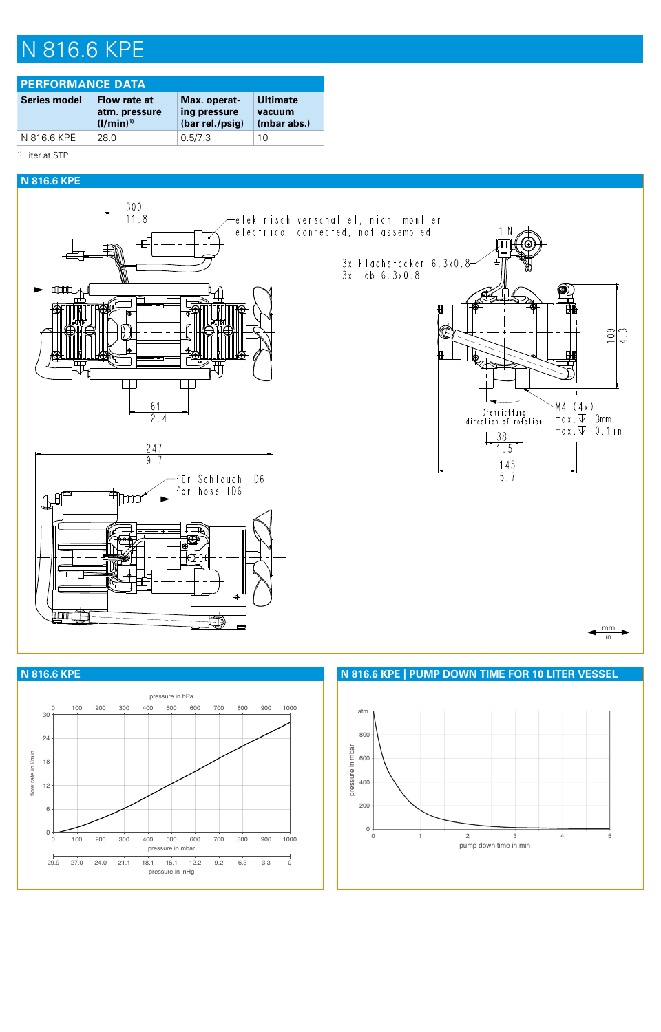## N 816.6 KPE

| <b>PERFORMANCE DATA</b> |                                                 |                                                 |                                          |  |  |
|-------------------------|-------------------------------------------------|-------------------------------------------------|------------------------------------------|--|--|
| <b>Series model</b>     | Flow rate at<br>atm. pressure<br>$(1/\min)^{1}$ | Max. operat-<br>ing pressure<br>(bar rel./psig) | <b>Ultimate</b><br>vacuum<br>(mbar abs.) |  |  |
| N 816.6 KPE             | 28 Q                                            | 0.5/7.3                                         | 10                                       |  |  |

<sup>1)</sup> Liter at STP

#### **N 816.6 KPE**







**N 816.6 KPE N 816.6 KPE | PUMP DOWN TIME FOR 10 LITER VESSEL**